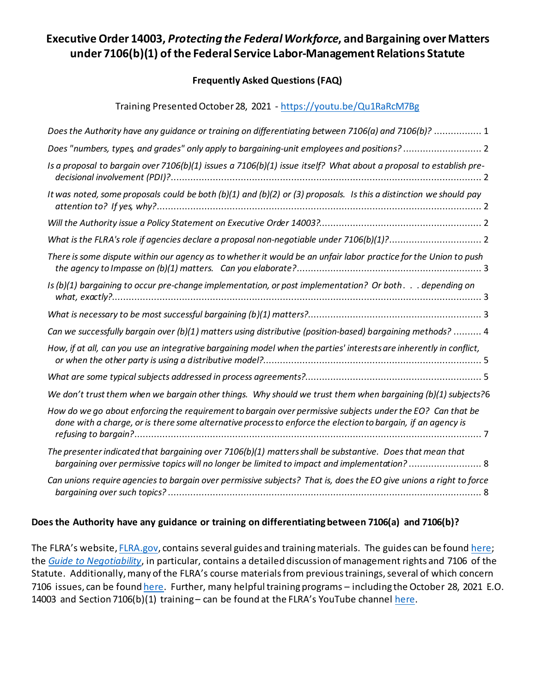# **Executive Order 14003,** *Protecting the Federal Workforce***, and Bargaining over Matters under 7106(b)(1) of the Federal Service Labor-Management Relations Statute**

#### **Frequently Asked Questions (FAQ)**

Training Presented October 28, 2021 - <https://youtu.be/Qu1RaRcM7Bg>

| Does the Authority have any guidance or training on differentiating between 7106(a) and 7106(b)?  1                                                                                                                        |
|----------------------------------------------------------------------------------------------------------------------------------------------------------------------------------------------------------------------------|
|                                                                                                                                                                                                                            |
| Is a proposal to bargain over 7106(b)(1) issues a 7106(b)(1) issue itself? What about a proposal to establish pre-                                                                                                         |
| It was noted, some proposals could be both (b)(1) and (b)(2) or (3) proposals. Is this a distinction we should pay                                                                                                         |
|                                                                                                                                                                                                                            |
|                                                                                                                                                                                                                            |
| There is some dispute within our agency as to whether it would be an unfair labor practice for the Union to push                                                                                                           |
| Is (b)(1) bargaining to occur pre-change implementation, or post implementation? Or both. depending on                                                                                                                     |
|                                                                                                                                                                                                                            |
| Can we successfully bargain over (b)(1) matters using distributive (position-based) bargaining methods?  4                                                                                                                 |
| How, if at all, can you use an integrative bargaining model when the parties' interests are inherently in conflict,                                                                                                        |
|                                                                                                                                                                                                                            |
| We don't trust them when we bargain other things. Why should we trust them when bargaining (b)(1) subjects?6                                                                                                               |
| How do we go about enforcing the requirement to bargain over permissive subjects under the EO? Can that be<br>done with a charge, or is there some alternative process to enforce the election to bargain, if an agency is |
| The presenter indicated that bargaining over 7106(b)(1) matters shall be substantive. Does that mean that                                                                                                                  |
| Can unions require agencies to bargain over permissive subjects? That is, does the EO give unions a right to force                                                                                                         |

#### <span id="page-0-0"></span>**Does the Authority have any guidance or training on differentiating between 7106(a) and 7106(b)?**

The FLRA's website[, FLRA.gov,](http://www.flra.gov/) contains several guides and training materials. The guides can be found [here;](https://www.flra.gov/resources-training/resources/guides-manuals) the *[Guide to Negotiability](https://www.flra.gov/system/files/webfm/Authority/NG%20Forms,%20Guide,%20Other/Negotiability%20Guide%206-17-13.pdf)*, in particular, contains a detailed discussion of management rights and 7106 of the Statute. Additionally, many of the FLRA's course materials from previous trainings, several of which concern 7106 issues, can be foun[d here.](https://www.flra.gov/resources-training/training/course-materials) Further, many helpful training programs – including the October 28, 2021 E.O. 14003 and Section 7106(b)(1) training – can be found at the FLRA's YouTube channel [here.](https://www.youtube.com/channel/UChxZxAWRochHxTLjRPWmuoQ)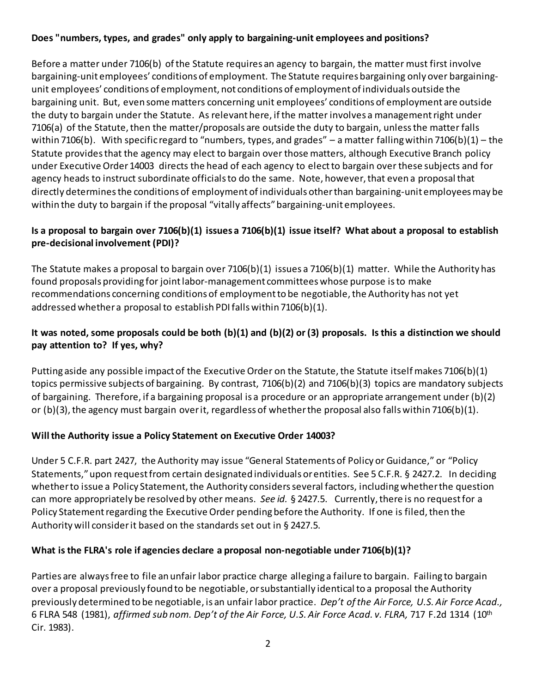# <span id="page-1-0"></span>**Does "numbers, types, and grades" only apply to bargaining-unit employees and positions?**

Before a matter under 7106(b) of the Statute requires an agency to bargain, the matter must first involve bargaining-unit employees' conditions of employment. The Statute requires bargaining only over bargainingunit employees' conditions of employment, not conditions of employment of individuals outside the bargaining unit. But, even some matters concerning unit employees' conditions of employment are outside the duty to bargain under the Statute. As relevant here, ifthe matter involves a management right under 7106(a) of the Statute, then the matter/proposals are outside the duty to bargain, unless the matter falls within 7106(b). With specific regard to "numbers, types, and grades" – a matter falling within 7106(b)(1) – the Statute provides that the agency may elect to bargain over those matters, although Executive Branch policy under Executive Order 14003 directs the head of each agency to elect to bargain over these subjects and for agency heads to instruct subordinate officials to do the same. Note, however, that even a proposal that directly determines the conditions of employment of individuals other than bargaining-unit employees may be within the duty to bargain if the proposal "vitally affects" bargaining-unit employees.

## <span id="page-1-1"></span>**Is a proposal to bargain over 7106(b)(1) issues a 7106(b)(1) issue itself? What about a proposal to establish pre-decisional involvement (PDI)?**

The Statute makes a proposal to bargain over 7106(b)(1) issues a 7106(b)(1) matter. While the Authority has found proposals providing for joint labor-management committees whose purpose is to make recommendations concerning conditions of employment to be negotiable, the Authority has not yet addressed whether a proposal to establish PDI falls within 7106(b)(1).

# <span id="page-1-2"></span>**It was noted, some proposals could be both (b)(1) and (b)(2) or (3) proposals. Is this a distinction we should pay attention to? If yes, why?**

Putting aside any possible impact of the Executive Order on the Statute, the Statute itself makes 7106(b)(1) topics permissive subjects of bargaining. By contrast, 7106(b)(2) and 7106(b)(3) topics are mandatory subjects of bargaining. Therefore, if a bargaining proposal is a procedure or an appropriate arrangement under (b)(2) or (b)(3), the agency must bargain over it, regardless of whether the proposal also falls within 7106(b)(1).

# <span id="page-1-3"></span>**Will the Authority issue a Policy Statement on Executive Order 14003?**

Under 5 C.F.R. part 2427, the Authority may issue "General Statements of Policy or Guidance," or "Policy Statements," upon request from certain designated individuals or entities. See 5 C.F.R. § 2427.2. In deciding whether to issue a Policy Statement, the Authority considersseveral factors, including whether the question can more appropriately be resolved by other means. *See id.* § 2427.5. Currently, there is no request for a Policy Statement regarding the Executive Order pending before the Authority. If one is filed, then the Authority will consider it based on the standards set out in § 2427.5.

#### <span id="page-1-4"></span>**What is the FLRA's role if agencies declare a proposal non-negotiable under 7106(b)(1)?**

Parties are always free to file an unfair labor practice charge alleging a failure to bargain. Failing to bargain over a proposal previously found to be negotiable, or substantially identical to a proposal the Authority previously determined to be negotiable, is an unfair labor practice. *Dep't of the Air Force, U.S. Air Force Acad.,*  6 FLRA 548 (1981), *affirmed sub nom. Dep't of the Air Force, U.S. Air Force Acad. v. FLRA,* 717 F.2d 1314 (10th Cir. 1983).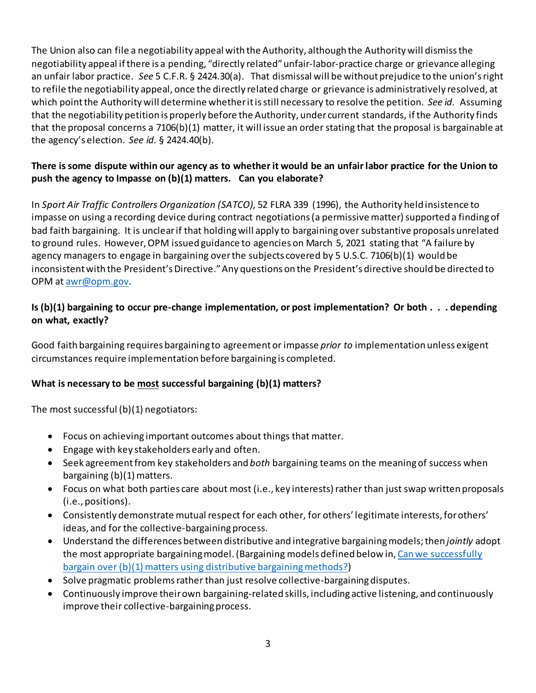The Union also can file a negotiability appeal with the Authority, although the Authority will dismiss the negotiability appeal if there is a pending, "directly related" unfair-labor-practice charge or grievance alleging an unfair labor practice. *See* 5 C.F.R. § 2424.30(a). That dismissal will be without prejudice to the union's right to refile the negotiability appeal, once the directly related charge or grievance is administratively resolved, at which point the Authority will determine whether it is still necessary to resolve the petition. *See id.* Assuming that the negotiability petition is properly before the Authority, under current standards, if the Authority finds that the proposal concerns a 7106(b)(1) matter, it will issue an order stating that the proposal is bargainable at the agency's election. *See id.* § 2424.40(b).

## <span id="page-2-0"></span>**There is some dispute within our agency as to whether it would be an unfair labor practice for the Union to push the agency to Impasse on (b)(1) matters. Can you elaborate?**

In *Sport Air Traffic Controllers Organization (SATCO),* 52 FLRA 339 (1996), the Authority held insistence to impasse on using a recording device during contract negotiations (a permissive matter) supported a finding of bad faith bargaining. It is unclear if that holding will apply to bargaining over substantive proposals unrelated to ground rules. However, OPM issued guidance to agencies on March 5, 2021 stating that "A failure by agency managers to engage in bargaining over the subjects covered by 5 U.S.C. 7106(b)(1) would be inconsistent with the President's Directive." Any questions on the President's directive should be directed to OPM at [awr@opm.gov.](mailto:awr@opm.gov)

# <span id="page-2-1"></span>**Is (b)(1) bargaining to occur pre-change implementation, or post implementation? Or both . . . depending on what, exactly?**

Good faith bargaining requires bargaining to agreement or impasse *prior to* implementation unless exigent circumstances require implementation before bargaining is completed.

# <span id="page-2-2"></span>**What is necessary to be most successful bargaining (b)(1) matters?**

The most successful (b)(1) negotiators:

- Focus on achieving important outcomes about things that matter.
- Engage with key stakeholders early and often.
- Seek agreement from key stakeholders and *both* bargaining teams on the meaning of success when bargaining (b)(1) matters.
- Focus on what both parties care about most (i.e., key interests) rather than just swap written proposals (i.e., positions).
- Consistently demonstrate mutual respect for each other, for others' legitimate interests, for others' ideas, and for the collective-bargaining process.
- Understand the differences between distributive and integrative bargaining models; then *jointly* adopt the most appropriate bargaining model. (Bargaining models defined below in[, Can we successfully](#page-3-0)  [bargain over \(b\)\(1\) matters using distributive bargaining methods?\)](#page-3-0)
- Solve pragmatic problems rather than just resolve collective-bargaining disputes.
- Continuously improve their own bargaining-related skills, including active listening, and continuously improve their collective-bargaining process.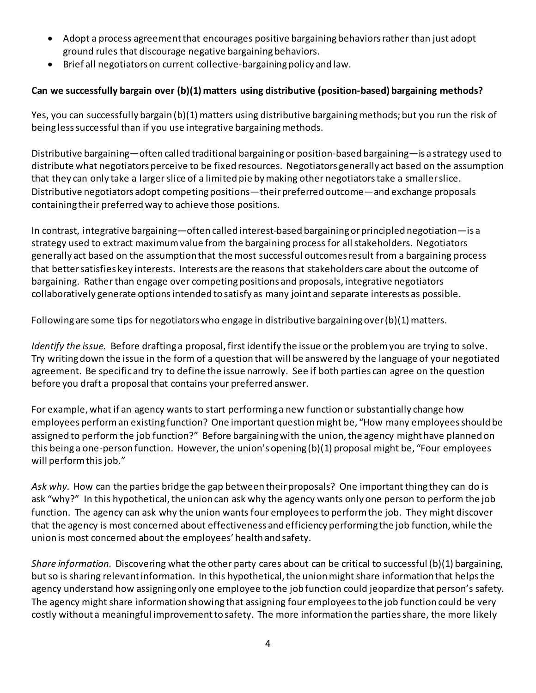- Adopt a process agreement that encourages positive bargaining behaviors rather than just adopt ground rules that discourage negative bargaining behaviors.
- Brief all negotiators on current collective-bargaining policy and law.

# <span id="page-3-0"></span>**Can we successfully bargain over (b)(1) matters using distributive (position-based) bargaining methods?**

Yes, you can successfully bargain (b)(1) matters using distributive bargaining methods; but you run the risk of being less successful than if you use integrative bargaining methods.

Distributive bargaining—often called traditional bargaining or position-based bargaining—is a strategy used to distribute what negotiators perceive to be fixed resources. Negotiators generally act based on the assumption that they can only take a larger slice of a limited pie by making other negotiators take a smaller slice. Distributive negotiators adopt competing positions—their preferred outcome—and exchange proposals containing their preferred way to achieve those positions.

In contrast, integrative bargaining—often called interest-based bargaining or principled negotiation—is a strategy used to extract maximum value from the bargaining process for all stakeholders. Negotiators generally act based on the assumption that the most successful outcomes result from a bargaining process that better satisfies key interests. Interests are the reasons that stakeholders care about the outcome of bargaining. Rather than engage over competing positions and proposals, integrative negotiators collaboratively generate options intended to satisfy as many joint and separate interests as possible.

Following are some tips for negotiators who engage in distributive bargaining over (b)(1) matters.

*Identify the issue.* Before drafting a proposal, first identify the issue or the problem you are trying to solve. Try writing down the issue in the form of a question that will be answered by the language of your negotiated agreement. Be specific and try to define the issue narrowly. See if both parties can agree on the question before you draft a proposal that contains your preferred answer.

For example, what if an agency wants to start performing a new function or substantially change how employees perform an existing function? One important question might be, "How many employees should be assigned to perform the job function?" Before bargaining with the union, the agency might have planned on this being a one-person function. However, the union's opening (b)(1) proposal might be, "Four employees will perform this job."

*Ask why.* How can the parties bridge the gap between their proposals? One important thing they can do is ask "why?" In this hypothetical, the union can ask why the agency wants only one person to perform the job function. The agency can ask why the union wants four employees to perform the job. They might discover that the agency is most concerned about effectiveness and efficiency performing the job function, while the union is most concerned about the employees' health and safety.

*Share information.* Discovering what the other party cares about can be critical to successful (b)(1) bargaining, but so is sharing relevant information. In this hypothetical, the union might share information that helps the agency understand how assigning only one employee to the job function could jeopardize that person's safety. The agency might share information showing that assigning four employees to the job function could be very costly without a meaningful improvement to safety. The more information the parties share, the more likely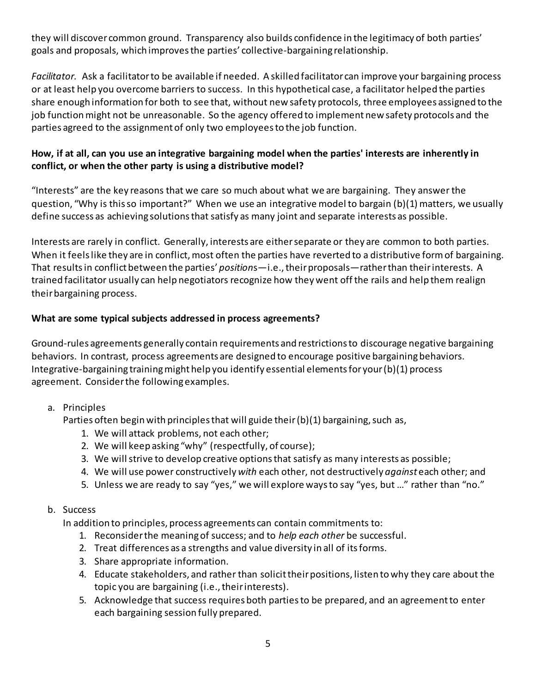they will discover common ground. Transparency also builds confidence in the legitimacy of both parties' goals and proposals, which improves the parties' collective-bargaining relationship.

*Facilitator.* Ask a facilitator to be available if needed. A skilled facilitator can improve your bargaining process or at least help you overcome barriers to success. In this hypothetical case, a facilitator helped the parties share enough information for both to see that, without new safety protocols, three employees assigned to the job function might not be unreasonable. So the agency offered to implement new safety protocols and the parties agreed to the assignment of only two employees to the job function.

## <span id="page-4-0"></span>**How, if at all, can you use an integrative bargaining model when the parties' interests are inherently in conflict, or when the other party is using a distributive model?**

"Interests" are the key reasons that we care so much about what we are bargaining. They answer the question, "Why is this so important?" When we use an integrative model to bargain (b)(1) matters, we usually define success as achieving solutions that satisfy as many joint and separate interests as possible.

Interests are rarely in conflict. Generally, interests are either separate or they are common to both parties. When it feels like they are in conflict, most often the parties have reverted to a distributive form of bargaining. That results in conflict between the parties' *position*s—i.e., their proposals—rather than their interests. A trained facilitator usually can help negotiators recognize how they went off the rails and help them realign their bargaining process.

## <span id="page-4-1"></span>**What are some typical subjects addressed in process agreements?**

Ground-rules agreements generally contain requirements and restrictions to discourage negative bargaining behaviors. In contrast, process agreements are designed to encourage positive bargaining behaviors. Integrative-bargaining training might help you identify essential elements for your (b)(1) process agreement. Consider the following examples.

#### a. Principles

Parties often begin with principles that will guide their (b)(1) bargaining, such as,

- 1. We will attack problems, not each other;
- 2. We will keep asking "why" (respectfully, of course);
- 3. We will strive to develop creative options that satisfy as many interests as possible;
- 4. We will use power constructively *with* each other, not destructively *against* each other; and
- 5. Unless we are ready to say "yes," we will explore ways to say "yes, but ..." rather than "no."

#### b. Success

In addition to principles, process agreements can contain commitments to:

- 1. Reconsider the meaning of success; and to *help each other* be successful.
- 2. Treat differences as a strengths and value diversity in all of its forms.
- 3. Share appropriate information.
- 4. Educate stakeholders, and rather than solicit their positions, listen to why they care about the topic you are bargaining (i.e., their interests).
- 5. Acknowledge that success requires both partiesto be prepared, and an agreement to enter each bargaining session fully prepared.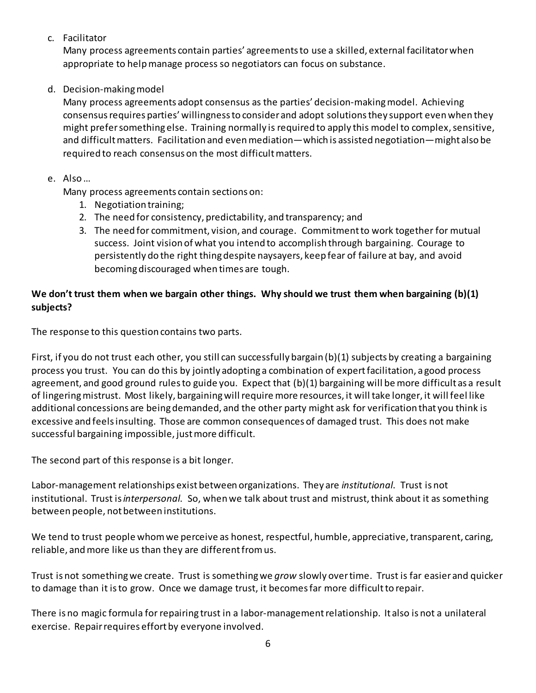c. Facilitator

Many process agreements contain parties' agreements to use a skilled, external facilitator when appropriate to help manage process so negotiators can focus on substance.

d. Decision-making model

Many process agreements adopt consensus as the parties' decision-making model. Achieving consensus requires parties' willingness to consider and adopt solutions they support even when they might prefer something else. Training normally is required to apply this model to complex, sensitive, and difficult matters. Facilitation and even mediation—which is assisted negotiation—might also be required to reach consensus on the most difficult matters.

## e. Also …

Many process agreements contain sections on:

- 1. Negotiation training;
- 2. The need for consistency, predictability, and transparency; and
- 3. The need for commitment, vision, and courage. Commitment to work together for mutual success. Joint vision of what you intend to accomplish through bargaining. Courage to persistently do the right thing despite naysayers, keep fear of failure at bay, and avoid becoming discouraged when times are tough.

# <span id="page-5-0"></span>**We don't trust them when we bargain other things. Why should we trust them when bargaining (b)(1) subjects?**

The response to this question contains two parts.

First, if you do not trust each other, you still can successfully bargain (b)(1) subjects by creating a bargaining process you trust. You can do this by jointly adopting a combination of expert facilitation, a good process agreement, and good ground rules to guide you. Expect that (b)(1) bargaining will be more difficult as a result of lingering mistrust. Most likely, bargaining will require more resources, it will take longer, it will feel like additional concessions are being demanded, and the other party might ask for verification that you think is excessive and feels insulting. Those are common consequences of damaged trust. This does not make successful bargaining impossible, just more difficult.

The second part of this response is a bit longer.

Labor-management relationships exist between organizations. They are *institutional*. Trust is not institutional. Trust is *interpersonal*. So, when we talk about trust and mistrust, think about it as something between people, not between institutions.

We tend to trust people whom we perceive as honest, respectful, humble, appreciative, transparent, caring, reliable, and more like us than they are different from us.

Trust is not something we create. Trust is something we *grow* slowly over time. Trust is far easier and quicker to damage than it is to grow. Once we damage trust, it becomes far more difficult to repair.

There is no magic formula for repairing trust in a labor-management relationship. It also is not a unilateral exercise. Repair requires effort by everyone involved.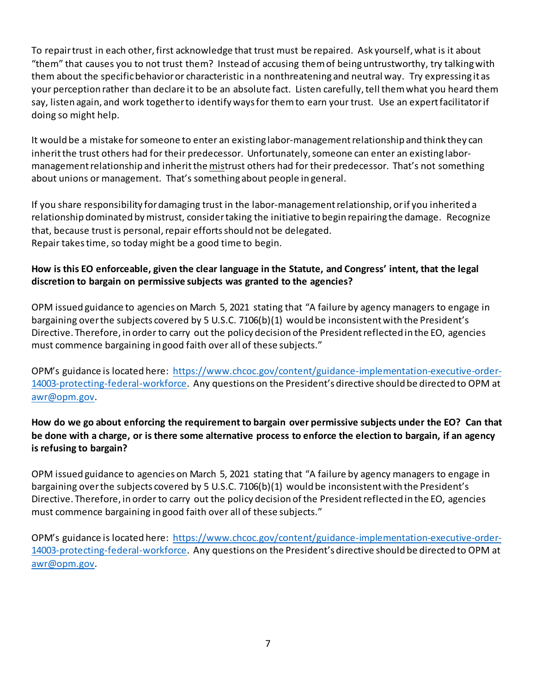To repair trust in each other, first acknowledge that trust must be repaired. Ask yourself, what is it about "them" that causes you to not trust them? Instead of accusing them of being untrustworthy, try talking with them about the specific behavior or characteristic in a nonthreatening and neutral way. Try expressing it as your perception rather than declare it to be an absolute fact. Listen carefully, tell them what you heard them say, listen again, and work together to identify ways for them to earn your trust. Use an expert facilitator if doing so might help.

It would be a mistake for someone to enter an existing labor-management relationship and think they can inherit the trust others had for their predecessor. Unfortunately, someone can enter an existing labormanagement relationship and inherit the mistrust others had for their predecessor. That's not something about unions or management. That's something about people in general.

If you share responsibility for damaging trust in the labor-management relationship, or if you inherited a relationship dominated by mistrust, consider taking the initiative to begin repairing the damage. Recognize that, because trust is personal, repair efforts should not be delegated. Repair takes time, so today might be a good time to begin.

## **How is this EO enforceable, given the clear language in the Statute, and Congress' intent, that the legal discretion to bargain on permissive subjects was granted to the agencies?**

OPM issued guidance to agencies on March 5, 2021 stating that "A failure by agency managers to engage in bargaining over the subjects covered by 5 U.S.C. 7106(b)(1) would be inconsistent with the President's Directive. Therefore, in order to carry out the policy decision of the President reflected in the EO, agencies must commence bargaining in good faith over all of these subjects."

OPM's guidance is located here: [https://www.chcoc.gov/content/guidance-implementation-executive-order-](https://www.chcoc.gov/content/guidance-implementation-executive-order-14003-protecting-federal-workforce)[14003-protecting-federal-workforce.](https://www.chcoc.gov/content/guidance-implementation-executive-order-14003-protecting-federal-workforce) Any questions on the President's directive should be directed to OPM at [awr@opm.gov.](mailto:awr@opm.gov)

## <span id="page-6-0"></span>**How do we go about enforcing the requirement to bargain over permissive subjects under the EO? Can that be done with a charge, or is there some alternative process to enforce the election to bargain, if an agency is refusing to bargain?**

OPM issued guidance to agencies on March 5, 2021 stating that "A failure by agency managers to engage in bargaining over the subjects covered by 5 U.S.C. 7106(b)(1) would be inconsistent with the President's Directive. Therefore, in order to carry out the policy decision of the President reflected in the EO, agencies must commence bargaining in good faith over all of these subjects."

OPM's guidance is located here: [https://www.chcoc.gov/content/guidance-implementation-executive-order-](https://www.chcoc.gov/content/guidance-implementation-executive-order-14003-protecting-federal-workforce)[14003-protecting-federal-workforce.](https://www.chcoc.gov/content/guidance-implementation-executive-order-14003-protecting-federal-workforce) Any questions on the President's directive should be directed to OPM at [awr@opm.gov.](mailto:awr@opm.gov)